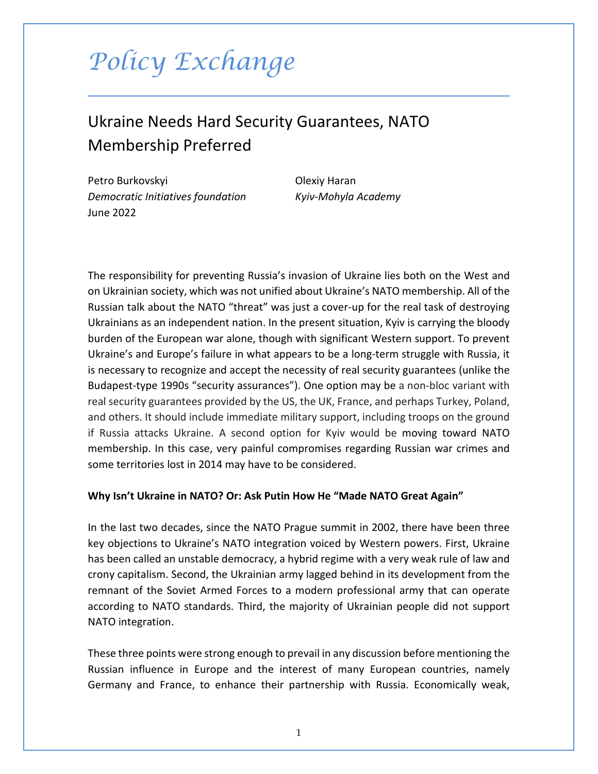# *Policy Exchange*

## Ukraine Needs Hard Security Guarantees, NATO Membership Preferred

Petro Burkovskyi **Olexiy Haran** *Democratic Initiatives foundation Kyiv-Mohyla Academy* June 2022

The responsibility for preventing Russia's invasion of Ukraine lies both on the West and on Ukrainian society, which was not unified about Ukraine's NATO membership. All of the Russian talk about the NATO "threat" was just a cover-up for the real task of destroying Ukrainians as an independent nation. In the present situation, Kyiv is carrying the bloody burden of the European war alone, though with significant Western support. To prevent Ukraine's and Europe's failure in what appears to be a long-term struggle with Russia, it is necessary to recognize and accept the necessity of real security guarantees (unlike the Budapest-type 1990s "security assurances"). One option may be a non-bloc variant with real security guarantees provided by the US, the UK, France, and perhaps Turkey, Poland, and others. It should include immediate military support, including troops on the ground if Russia attacks Ukraine. A second option for Kyiv would be moving toward NATO membership. In this case, very painful compromises regarding Russian war crimes and some territories lost in 2014 may have to be considered.

#### **Why Isn't Ukraine in NATO? Or: Ask Putin How He "Made NATO Great Again"**

In the last two decades, since the NATO Prague summit in 2002, there have been three key objections to Ukraine's NATO integration voiced by Western powers. First, Ukraine has been called an unstable democracy, a hybrid regime with a very weak rule of law and crony capitalism. Second, the Ukrainian army lagged behind in its development from the remnant of the Soviet Armed Forces to a modern professional army that can operate according to NATO standards. Third, the majority of Ukrainian people did not support NATO integration.

These three points were strong enough to prevail in any discussion before mentioning the Russian influence in Europe and the interest of many European countries, namely Germany and France, to enhance their partnership with Russia. Economically weak,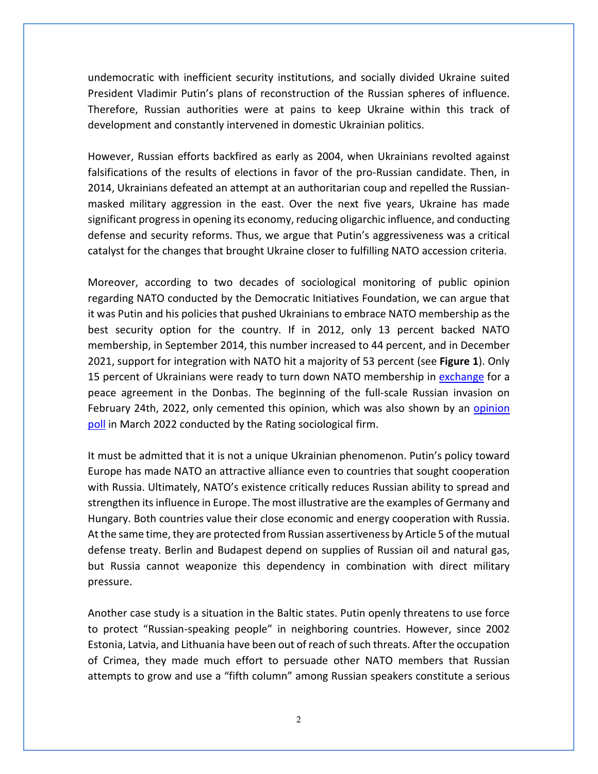undemocratic with inefficient security institutions, and socially divided Ukraine suited President Vladimir Putin's plans of reconstruction of the Russian spheres of influence. Therefore, Russian authorities were at pains to keep Ukraine within this track of development and constantly intervened in domestic Ukrainian politics.

However, Russian efforts backfired as early as 2004, when Ukrainians revolted against falsifications of the results of elections in favor of the pro-Russian candidate. Then, in 2014, Ukrainians defeated an attempt at an authoritarian coup and repelled the Russianmasked military aggression in the east. Over the next five years, Ukraine has made significant progress in opening its economy, reducing oligarchic influence, and conducting defense and security reforms. Thus, we argue that Putin's aggressiveness was a critical catalyst for the changes that brought Ukraine closer to fulfilling NATO accession criteria.

Moreover, according to two decades of sociological monitoring of public opinion regarding NATO conducted by the Democratic Initiatives Foundation, we can argue that it was Putin and his policies that pushed Ukrainians to embrace NATO membership as the best security option for the country. If in 2012, only 13 percent backed NATO membership, in September 2014, this number increased to 44 percent, and in December 2021, support for integration with NATO hit a majority of 53 percent (see **Figure 1**). Only 15 percent of Ukrainians were ready to turn down NATO membership in [exchange](https://dif.org.ua/en/article/no-to-russias-aggression-the-public-opinion-of-ukrainians-in-february-2022) for a peace agreement in the Donbas. The beginning of the full-scale Russian invasion on February 24th, 2022, only cemented this opinion, which was also shown by an opinion [poll](https://ratinggroup.ua/research/ukraine/obschenacionalnyy_opros_ukraina_v_usloviyah_voyny_1_marta_2022.html) in March 2022 conducted by the Rating sociological firm.

It must be admitted that it is not a unique Ukrainian phenomenon. Putin's policy toward Europe has made NATO an attractive alliance even to countries that sought cooperation with Russia. Ultimately, NATO's existence critically reduces Russian ability to spread and strengthen its influence in Europe. The most illustrative are the examples of Germany and Hungary. Both countries value their close economic and energy cooperation with Russia. At the same time, they are protected from Russian assertiveness by Article 5 of the mutual defense treaty. Berlin and Budapest depend on supplies of Russian oil and natural gas, but Russia cannot weaponize this dependency in combination with direct military pressure.

Another case study is a situation in the Baltic states. Putin openly threatens to use force to protect "Russian-speaking people" in neighboring countries. However, since 2002 Estonia, Latvia, and Lithuania have been out of reach of such threats. After the occupation of Crimea, they made much effort to persuade other NATO members that Russian attempts to grow and use a "fifth column" among Russian speakers constitute a serious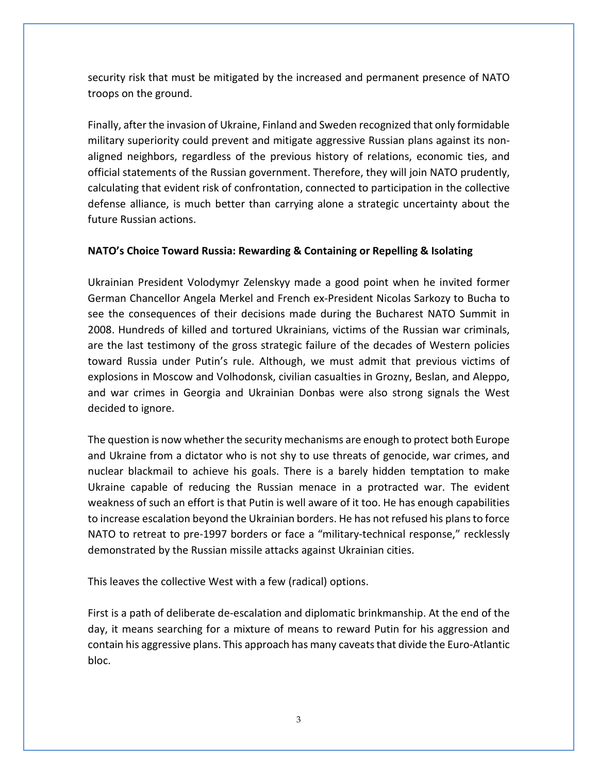security risk that must be mitigated by the increased and permanent presence of NATO troops on the ground.

Finally, after the invasion of Ukraine, Finland and Sweden recognized that only formidable military superiority could prevent and mitigate aggressive Russian plans against its nonaligned neighbors, regardless of the previous history of relations, economic ties, and official statements of the Russian government. Therefore, they will join NATO prudently, calculating that evident risk of confrontation, connected to participation in the collective defense alliance, is much better than carrying alone a strategic uncertainty about the future Russian actions.

### **NATO's Choice Toward Russia: Rewarding & Containing or Repelling & Isolating**

Ukrainian President Volodymyr Zelenskyy made a good point when he invited former German Chancellor Angela Merkel and French ex-President Nicolas Sarkozy to Bucha to see the consequences of their decisions made during the Bucharest NATO Summit in 2008. Hundreds of killed and tortured Ukrainians, victims of the Russian war criminals, are the last testimony of the gross strategic failure of the decades of Western policies toward Russia under Putin's rule. Although, we must admit that previous victims of explosions in Moscow and Volhodonsk, civilian casualties in Grozny, Beslan, and Aleppo, and war crimes in Georgia and Ukrainian Donbas were also strong signals the West decided to ignore.

The question is now whether the security mechanisms are enough to protect both Europe and Ukraine from a dictator who is not shy to use threats of genocide, war crimes, and nuclear blackmail to achieve his goals. There is a barely hidden temptation to make Ukraine capable of reducing the Russian menace in a protracted war. The evident weakness of such an effort is that Putin is well aware of it too. He has enough capabilities to increase escalation beyond the Ukrainian borders. He has not refused his plans to force NATO to retreat to pre-1997 borders or face a "military-technical response," recklessly demonstrated by the Russian missile attacks against Ukrainian cities.

This leaves the collective West with a few (radical) options.

First is a path of deliberate de-escalation and diplomatic brinkmanship. At the end of the day, it means searching for a mixture of means to reward Putin for his aggression and contain his aggressive plans. This approach has many caveats that divide the Euro-Atlantic bloc.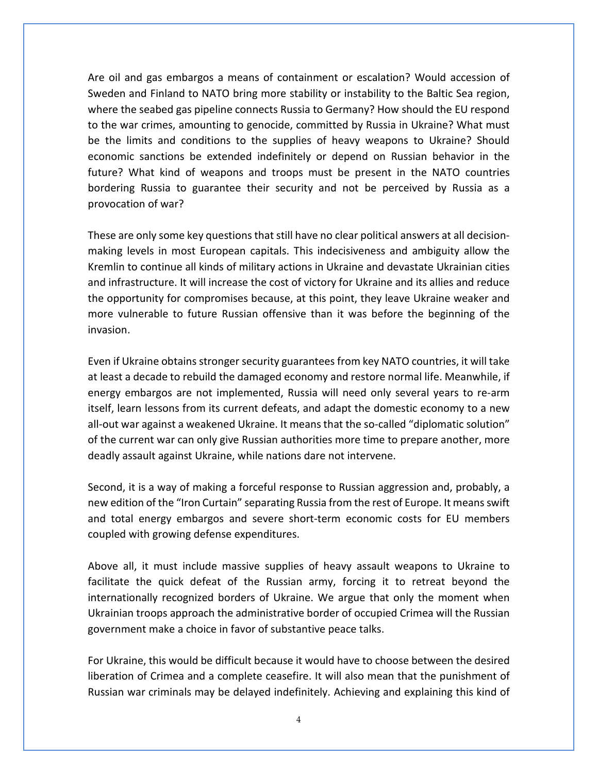Are oil and gas embargos a means of containment or escalation? Would accession of Sweden and Finland to NATO bring more stability or instability to the Baltic Sea region, where the seabed gas pipeline connects Russia to Germany? How should the EU respond to the war crimes, amounting to genocide, committed by Russia in Ukraine? What must be the limits and conditions to the supplies of heavy weapons to Ukraine? Should economic sanctions be extended indefinitely or depend on Russian behavior in the future? What kind of weapons and troops must be present in the NATO countries bordering Russia to guarantee their security and not be perceived by Russia as a provocation of war?

These are only some key questions that still have no clear political answers at all decisionmaking levels in most European capitals. This indecisiveness and ambiguity allow the Kremlin to continue all kinds of military actions in Ukraine and devastate Ukrainian cities and infrastructure. It will increase the cost of victory for Ukraine and its allies and reduce the opportunity for compromises because, at this point, they leave Ukraine weaker and more vulnerable to future Russian offensive than it was before the beginning of the invasion.

Even if Ukraine obtains stronger security guarantees from key NATO countries, it will take at least a decade to rebuild the damaged economy and restore normal life. Meanwhile, if energy embargos are not implemented, Russia will need only several years to re-arm itself, learn lessons from its current defeats, and adapt the domestic economy to a new all-out war against a weakened Ukraine. It means that the so-called "diplomatic solution" of the current war can only give Russian authorities more time to prepare another, more deadly assault against Ukraine, while nations dare not intervene.

Second, it is a way of making a forceful response to Russian aggression and, probably, a new edition of the "Iron Curtain" separating Russia from the rest of Europe. It means swift and total energy embargos and severe short-term economic costs for EU members coupled with growing defense expenditures.

Above all, it must include massive supplies of heavy assault weapons to Ukraine to facilitate the quick defeat of the Russian army, forcing it to retreat beyond the internationally recognized borders of Ukraine. We argue that only the moment when Ukrainian troops approach the administrative border of occupied Crimea will the Russian government make a choice in favor of substantive peace talks.

For Ukraine, this would be difficult because it would have to choose between the desired liberation of Crimea and a complete ceasefire. It will also mean that the punishment of Russian war criminals may be delayed indefinitely. Achieving and explaining this kind of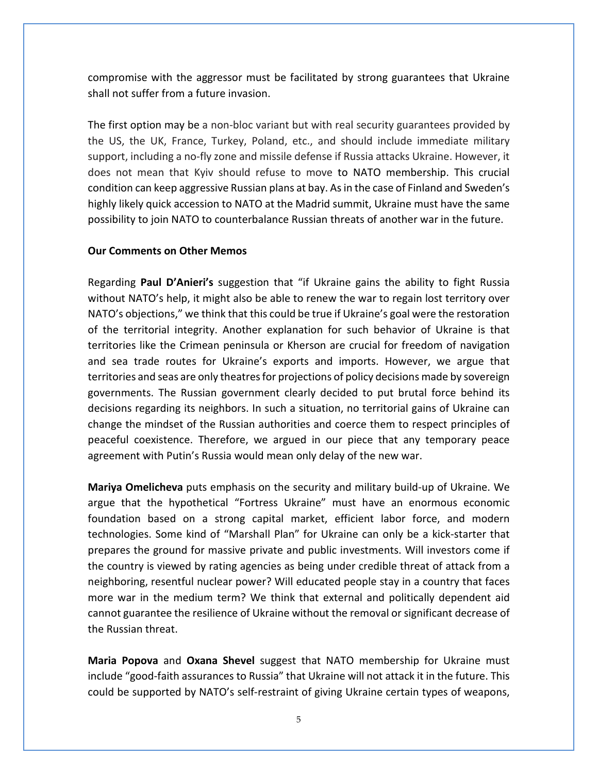compromise with the aggressor must be facilitated by strong guarantees that Ukraine shall not suffer from a future invasion.

The first option may be a non-bloc variant but with real security guarantees provided by the US, the UK, France, Turkey, Poland, etc., and should include immediate military support, including a no-fly zone and missile defense if Russia attacks Ukraine. However, it does not mean that Kyiv should refuse to move to NATO membership. This crucial condition can keep aggressive Russian plans at bay. As in the case of Finland and Sweden's highly likely quick accession to NATO at the Madrid summit, Ukraine must have the same possibility to join NATO to counterbalance Russian threats of another war in the future.

#### **Our Comments on Other Memos**

Regarding **Paul D'Anieri's** suggestion that "if Ukraine gains the ability to fight Russia without NATO's help, it might also be able to renew the war to regain lost territory over NATO's objections," we think that this could be true if Ukraine's goal were the restoration of the territorial integrity. Another explanation for such behavior of Ukraine is that territories like the Crimean peninsula or Kherson are crucial for freedom of navigation and sea trade routes for Ukraine's exports and imports. However, we argue that territories and seas are only theatres for projections of policy decisions made by sovereign governments. The Russian government clearly decided to put brutal force behind its decisions regarding its neighbors. In such a situation, no territorial gains of Ukraine can change the mindset of the Russian authorities and coerce them to respect principles of peaceful coexistence. Therefore, we argued in our piece that any temporary peace agreement with Putin's Russia would mean only delay of the new war.

**Mariya Omelicheva** puts emphasis on the security and military build-up of Ukraine. We argue that the hypothetical "Fortress Ukraine" must have an enormous economic foundation based on a strong capital market, efficient labor force, and modern technologies. Some kind of "Marshall Plan" for Ukraine can only be a kick-starter that prepares the ground for massive private and public investments. Will investors come if the country is viewed by rating agencies as being under credible threat of attack from a neighboring, resentful nuclear power? Will educated people stay in a country that faces more war in the medium term? We think that external and politically dependent aid cannot guarantee the resilience of Ukraine without the removal or significant decrease of the Russian threat.

**Maria Popova** and **Oxana Shevel** suggest that NATO membership for Ukraine must include "good-faith assurances to Russia" that Ukraine will not attack it in the future. This could be supported by NATO's self-restraint of giving Ukraine certain types of weapons,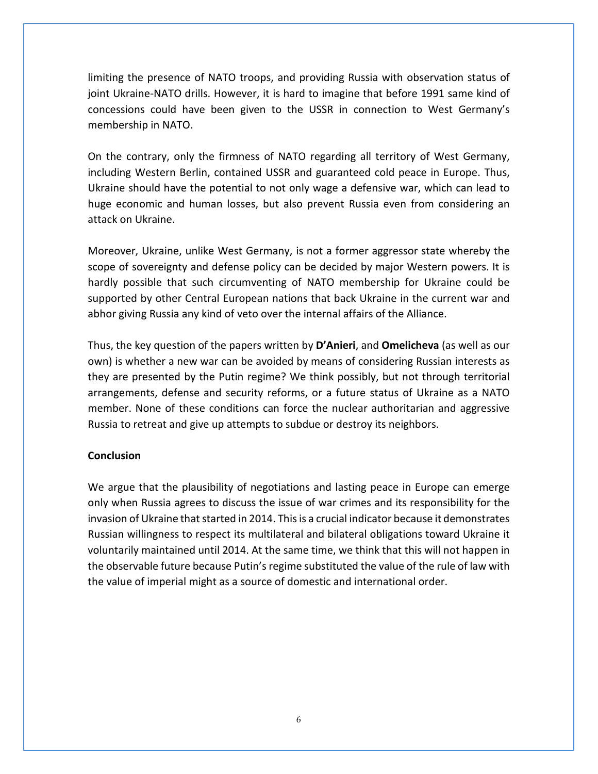limiting the presence of NATO troops, and providing Russia with observation status of joint Ukraine-NATO drills. However, it is hard to imagine that before 1991 same kind of concessions could have been given to the USSR in connection to West Germany's membership in NATO.

On the contrary, only the firmness of NATO regarding all territory of West Germany, including Western Berlin, contained USSR and guaranteed cold peace in Europe. Thus, Ukraine should have the potential to not only wage a defensive war, which can lead to huge economic and human losses, but also prevent Russia even from considering an attack on Ukraine.

Moreover, Ukraine, unlike West Germany, is not a former aggressor state whereby the scope of sovereignty and defense policy can be decided by major Western powers. It is hardly possible that such circumventing of NATO membership for Ukraine could be supported by other Central European nations that back Ukraine in the current war and abhor giving Russia any kind of veto over the internal affairs of the Alliance.

Thus, the key question of the papers written by **D'Anieri**, and **Omelicheva** (as well as our own) is whether a new war can be avoided by means of considering Russian interests as they are presented by the Putin regime? We think possibly, but not through territorial arrangements, defense and security reforms, or a future status of Ukraine as a NATO member. None of these conditions can force the nuclear authoritarian and aggressive Russia to retreat and give up attempts to subdue or destroy its neighbors.

#### **Conclusion**

We argue that the plausibility of negotiations and lasting peace in Europe can emerge only when Russia agrees to discuss the issue of war crimes and its responsibility for the invasion of Ukraine that started in 2014. This is a crucial indicator because it demonstrates Russian willingness to respect its multilateral and bilateral obligations toward Ukraine it voluntarily maintained until 2014. At the same time, we think that this will not happen in the observable future because Putin's regime substituted the value of the rule of law with the value of imperial might as a source of domestic and international order.